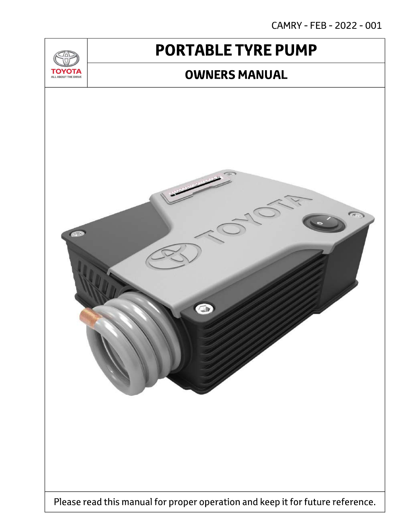CAMRY - FEB - 2022 - 001

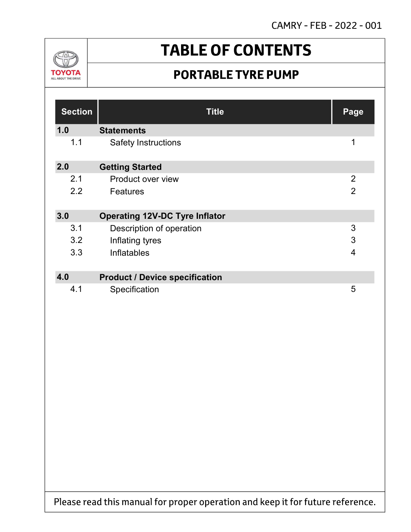CAMRY - FEB - 2022 - 001



# **TABLE OF CONTENTS**

## **PORTABLE TYRE PUMP**

| <b>Section</b> | <b>Title</b>                          | Page           |
|----------------|---------------------------------------|----------------|
| 1.0            | <b>Statements</b>                     |                |
| 1.1            | <b>Safety Instructions</b>            | 1              |
| 2.0            | <b>Getting Started</b>                |                |
| 2.1            | Product over view                     | $\overline{2}$ |
| 2.2            | <b>Features</b>                       | $\overline{2}$ |
| 3.0            | <b>Operating 12V-DC Tyre Inflator</b> |                |
| 3.1            | Description of operation              | 3              |
| 3.2            | Inflating tyres                       | 3              |
| 3.3            | Inflatables                           | $\overline{4}$ |
| 4.0            | <b>Product / Device specification</b> |                |
| 4.1            | Specification                         | 5              |

Please read this manual for proper operation and keep it for future reference.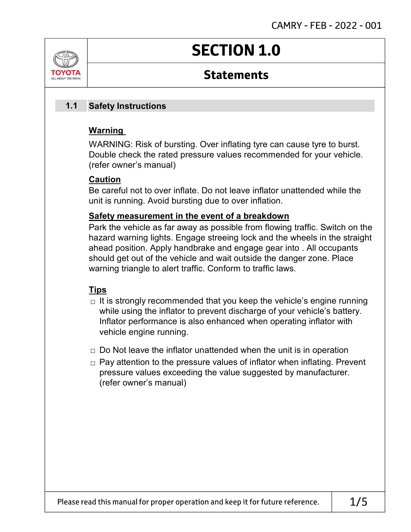

## **SECTION 1.0**

## **Statements**

#### Safety Instructions 1.1

### Warning

WARNING: Risk of bursting. Over inflating tyre can cause tyre to burst. Double check the rated pressure values recommended for your vehicle. (refer owner's manual)

### Caution

Be careful not to over inflate. Do not leave inflator unattended while the unit is running. Avoid bursting due to over inflation.

### Safety measurement in the event of a breakdown

Park the vehicle as far away as possible from flowing traffic. Switch on the hazard warning lights. Engage streeing lock and the wheels in the straight ahead position. Apply handbrake and engage gear into . All occupants should get out of the vehicle and wait outside the danger zone. Place warning triangle to alert traffic. Conform to traffic laws.

### Tips

- $\Box$  It is strongly recommended that you keep the vehicle's engine running while using the inflator to prevent discharge of your vehicle's battery. Inflator performance is also enhanced when operating inflator with vehicle engine running.
- $\Box$  Do Not leave the inflator unattended when the unit is in operation
- $\Box$  Pay attention to the pressure values of inflator when inflating. Prevent pressure values exceeding the value suggested by manufacturer. (refer owner's manual)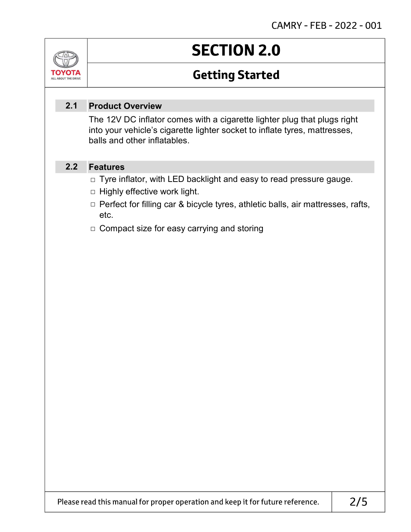

# **SECTION 2.0**

## **Getting Started**

#### Product Overview 2.1

The 12V DC inflator comes with a cigarette lighter plug that plugs right into your vehicle's cigarette lighter socket to inflate tyres, mattresses, balls and other inflatables.

#### Features 2.2

- □ Tyre inflator, with LED backlight and easy to read pressure gauge.
- $\Box$  Highly effective work light.
- □ Perfect for filling car & bicycle tyres, athletic balls, air mattresses, rafts, etc.
- □ Compact size for easy carrying and storing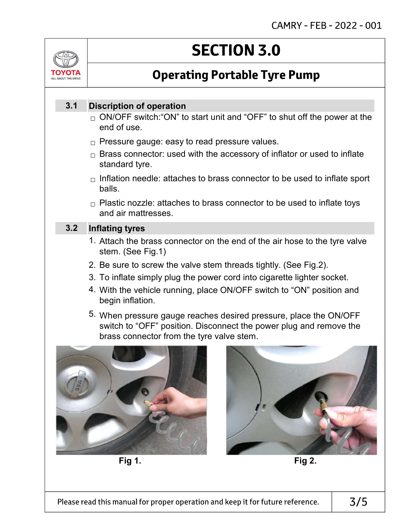

# **SECTION 3.0**

## **Operating Portable Tyre Pump**

#### Discription of operation 3.1

- $_\square$  ON/OFF switch:"ON" to start unit and "OFF" to shut off the power at the end of use.
- $_\square$  Pressure gauge: easy to read pressure values.
- $_\square$  Brass connector: used with the accessory of inflator or used to inflate standard tyre.
- $_\Box$  Inflation needle: attaches to brass connector to be used to inflate sport balls.
- $_\square$  Plastic nozzle: attaches to brass connector to be used to inflate toys and air mattresses.

#### Inflating tyres 3.2

- 1. Attach the brass connector on the end of the air hose to the tyre valve stem. (See Fig.1)
- 2. Be sure to screw the valve stem threads tightly. (See Fig.2).
- 3. To inflate simply plug the power cord into cigarette lighter socket.
- 4. With the vehicle running, place ON/OFF switch to "ON" position and begin inflation.
- 5. When pressure gauge reaches desired pressure, place the ON/OFF switch to "OFF" position. Disconnect the power plug and remove the brass connector from the tyre valve stem.





Fig 1. Fig 2.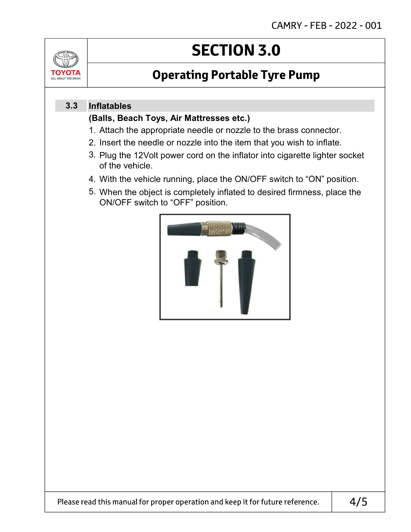

# **SECTION 3.0**

## **Operating Portable Tyre Pump**

#### Inflatables 3.3

### (Balls, Beach Toys, Air Mattresses etc.)

- 1. Attach the appropriate needle or nozzle to the brass connector.
- 2. Insert the needle or nozzle into the item that you wish to inflate.
- 3. Plug the 12Volt power cord on the inflator into cigarette lighter socket of the vehicle.
- 4. With the vehicle running, place the ON/OFF switch to "ON" position.
- 5. When the object is completely inflated to desired firmness, place the ON/OFF switch to "OFF" position.